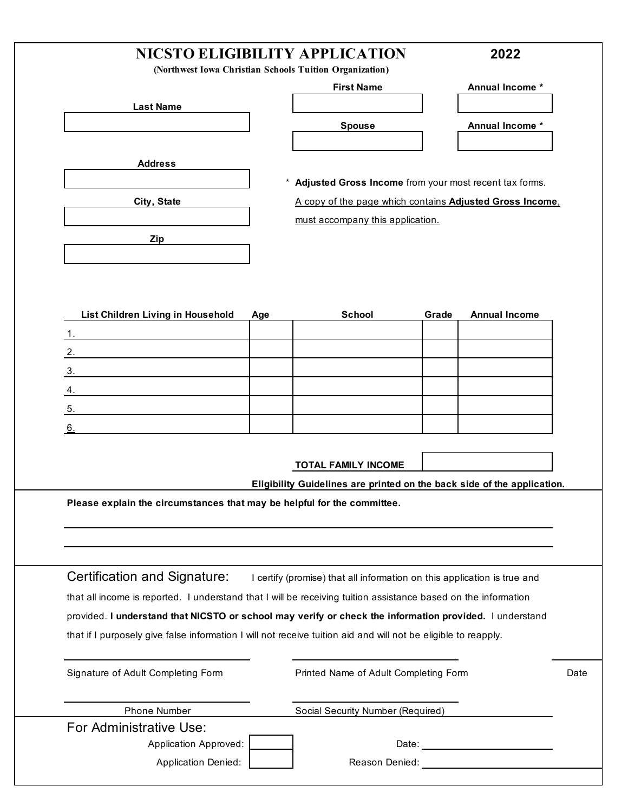## **NICSTO ELIGIBILITY APPLICATION 2022**

**(Northwest Iowa Christian Schools Tuition Organization)**

|                                   |     | <b>First Name</b>                                        |       | Annual Income *      |
|-----------------------------------|-----|----------------------------------------------------------|-------|----------------------|
| <b>Last Name</b>                  |     |                                                          |       |                      |
|                                   |     | <b>Spouse</b>                                            |       | Annual Income *      |
|                                   |     |                                                          |       |                      |
| <b>Address</b>                    |     |                                                          |       |                      |
|                                   |     | * Adjusted Gross Income from your most recent tax forms. |       |                      |
| City, State                       |     | A copy of the page which contains Adjusted Gross Income, |       |                      |
|                                   |     | must accompany this application.                         |       |                      |
| Zip                               |     |                                                          |       |                      |
|                                   |     |                                                          |       |                      |
|                                   |     |                                                          |       |                      |
|                                   |     |                                                          |       |                      |
| List Children Living in Household | Age | <b>School</b>                                            | Grade | <b>Annual Income</b> |
| 1                                 |     |                                                          |       |                      |

| <b>POLINAI</b> | <b>Pranc</b> | <b>AIIIIUAI IIIUUIIIE</b> |
|----------------|--------------|---------------------------|
|                |              |                           |
|                |              |                           |
|                |              |                           |
|                |              |                           |
|                |              |                           |
|                |              |                           |
|                |              |                           |

**TOTAL FAMILY INCOME**

**Eligibility Guidelines are printed on the back side of the application.**

**Please explain the circumstances that may be helpful for the committee.** 

Certification and Signature: I certify (promise) that all information on this application is true and that all income is reported. I understand that I will be receiving tuition assistance based on the information provided. **I understand that NICSTO or school may verify or check the information provided.** I understand that if I purposely give false information I will not receive tuition aid and will not be eligible to reapply.

Signature of Adult Completing Form Printed Name of Adult Completing Form Date

| <b>Phone Number</b>        | Social Security Number (Required) |
|----------------------------|-----------------------------------|
| For Administrative Use:    |                                   |
| Application Approved:      | Date:                             |
| <b>Application Denied:</b> | Reason Denied:                    |